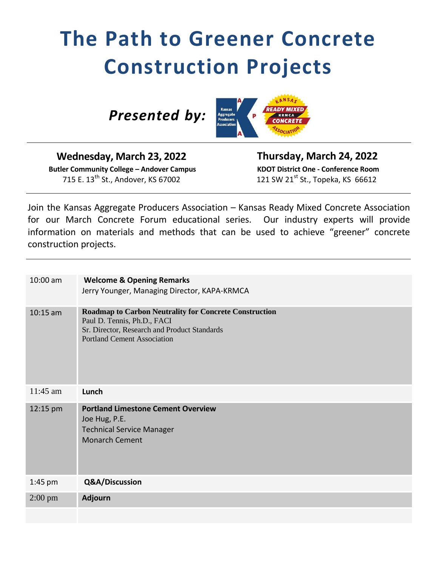## **The Path to Greener Concrete Construction Projects**

 *Presented by:* 



**Wednesday, March 23, 2022 Butler Community College – Andover Campus** 715 E. 13<sup>th</sup> St., Andover, KS 67002

 **Thursday, March 24, 2022 KDOT District One - Conference Room** 121 SW 21 $^{st}$  St., Topeka, KS 66612

Join the Kansas Aggregate Producers Association – Kansas Ready Mixed Concrete Association for our March Concrete Forum educational series. Our industry experts will provide information on materials and methods that can be used to achieve "greener" concrete construction projects.

| 10:00 am   | <b>Welcome &amp; Opening Remarks</b><br>Jerry Younger, Managing Director, KAPA-KRMCA                                                                                               |
|------------|------------------------------------------------------------------------------------------------------------------------------------------------------------------------------------|
| $10:15$ am | <b>Roadmap to Carbon Neutrality for Concrete Construction</b><br>Paul D. Tennis, Ph.D., FACI<br>Sr. Director, Research and Product Standards<br><b>Portland Cement Association</b> |
| $11:45$ am | Lunch                                                                                                                                                                              |
|            |                                                                                                                                                                                    |
| 12:15 pm   | <b>Portland Limestone Cement Overview</b><br>Joe Hug, P.E.<br><b>Technical Service Manager</b><br><b>Monarch Cement</b>                                                            |
| $1:45$ pm  | Q&A/Discussion                                                                                                                                                                     |
| $2:00$ pm  | <b>Adjourn</b>                                                                                                                                                                     |